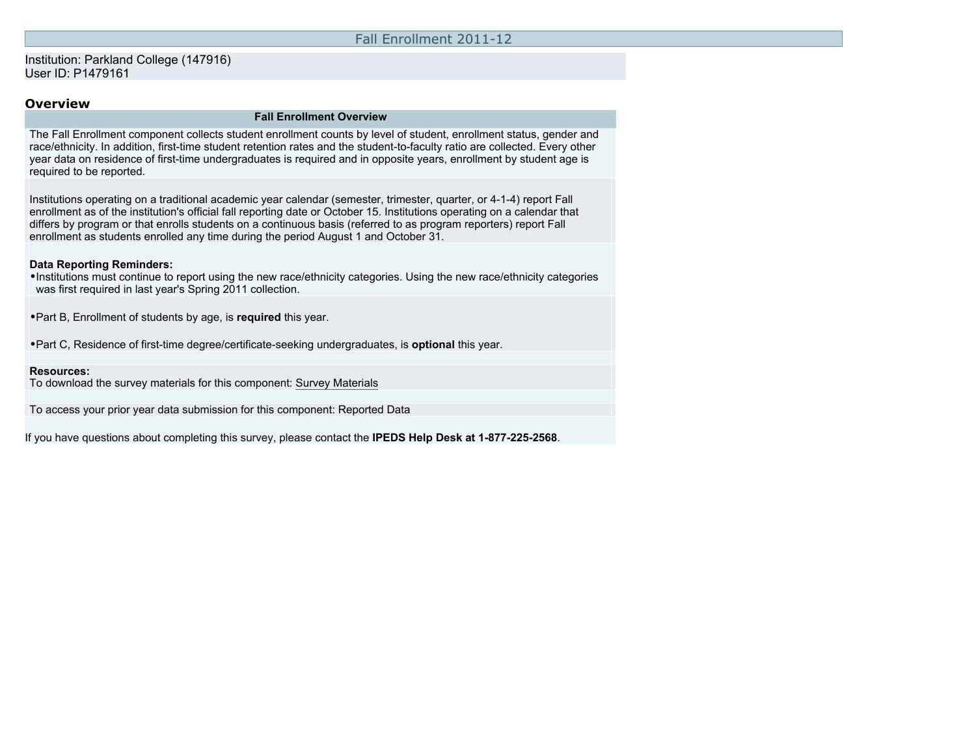## Fall Enrollment 2011-12

## Institution: Parkland College (147916) User ID: P1479161

# **Overview**

#### **Fall Enrollment Overview**

The Fall Enrollment component collects student enrollment counts by level of student, enrollment status, gender and race/ethnicity. In addition, first-time student retention rates and the student-to-faculty ratio are collected. Every other year data on residence of first-time undergraduates is required and in opposite years, enrollment by student age is required to be reported.

Institutions operating on a traditional academic year calendar (semester, trimester, quarter, or 4-1-4) report Fall enrollment as of the institution's official fall reporting date or October 15. Institutions operating on a calendar that differs by program or that enrolls students on a continuous basis (referred to as program reporters) report Fall enrollment as students enrolled any time during the period August 1 and October 31.

#### **Data Reporting Reminders:**

•Institutions must continue to report using the new race/ethnicity categories. Using the new race/ethnicity categories was first required in last year's Spring 2011 collection.

•Part B, Enrollment of students by age, is **required** this year.

•Part C, Residence of first-time degree/certificate-seeking undergraduates, is **optional** this year.

#### **Resources:**

To download the survey materials for this component: [Survey Materials](https://surveys.nces.ed.gov/ipeds/VisIndex.aspx)

To access your prior year data submission for this component: [Reported Data](https://surveys.nces.ed.gov/IPEDS/PriorYearDataRedirect.aspx?survey_id=6)

If you have questions about completing this survey, please contact the **IPEDS Help Desk at 1-877-225-2568**.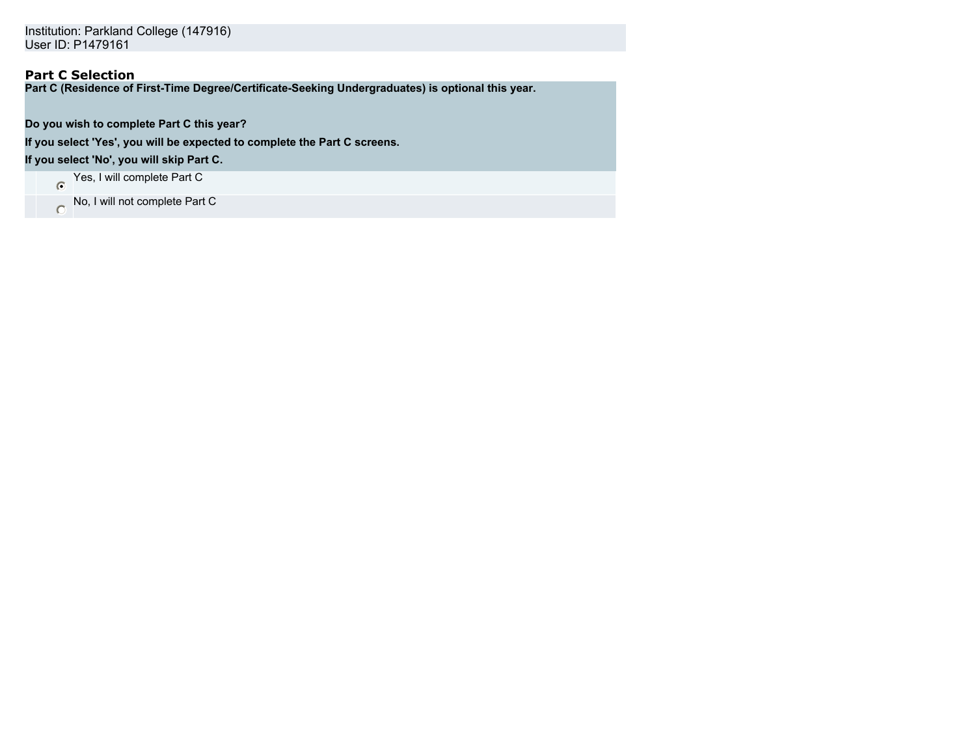Institution: Parkland College (147916) User ID: P1479161

# **Part C Selection**

**Part C (Residence of First-Time Degree/Certificate-Seeking Undergraduates) is optional this year.**

**Do you wish to complete Part C this year?**

**If you select 'Yes', you will be expected to complete the Part C screens.**

**If you select 'No', you will skip Part C.**

Yes, I will complete Part C

No, I will not complete Part C  $\overline{O}$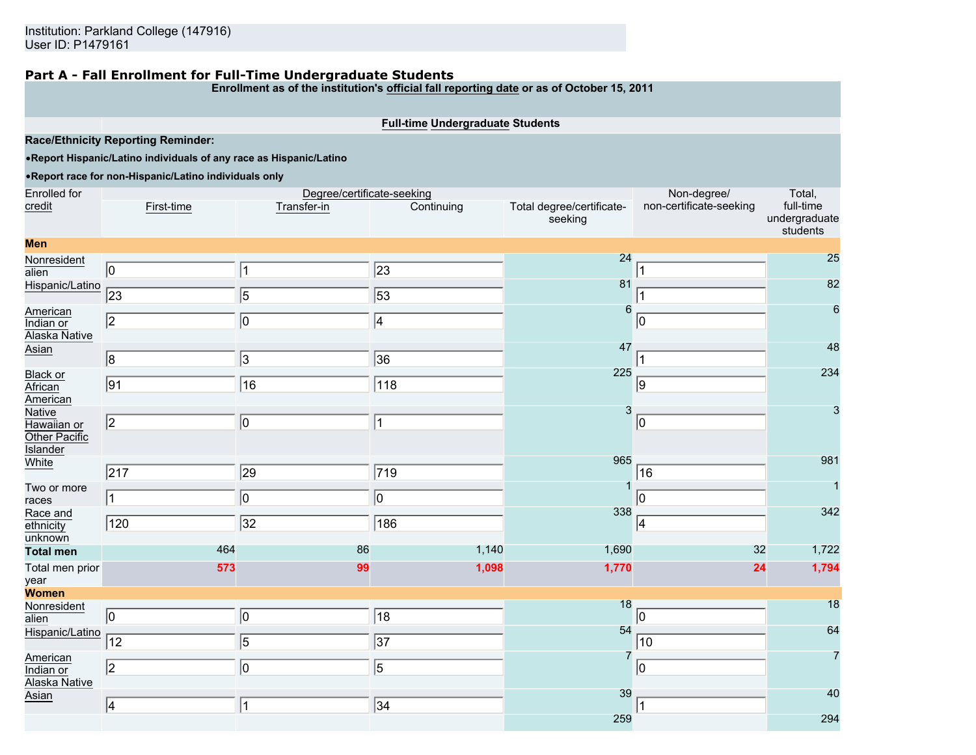# **Part A - Fall Enrollment for Full-Time Undergraduate Students**

**Enrollment as of the institution's official fall reporting date or as of October 15, 2011**

**Full-time Undergraduate Students**

**Race/Ethnicity Reporting Reminder:**

•**Report Hispanic/Latino individuals of any race as Hispanic/Latino**

## •**Report race for non-Hispanic/Latino individuals only**

| <b>Enrolled</b> for                                       |                 | Degree/certificate-seeking |                 |                                      | Non-degree/             | Total,                                 |
|-----------------------------------------------------------|-----------------|----------------------------|-----------------|--------------------------------------|-------------------------|----------------------------------------|
| credit                                                    | First-time      | Transfer-in                | Continuing      | Total degree/certificate-<br>seeking | non-certificate-seeking | full-time<br>undergraduate<br>students |
| <b>Men</b>                                                |                 |                            |                 |                                      |                         |                                        |
| Nonresident<br>alien                                      | $ 0\rangle$     | 1                          | $\sqrt{23}$     | 24                                   |                         | 25                                     |
| Hispanic/Latino                                           | $\overline{23}$ | $\overline{5}$             | $\overline{53}$ | 81                                   |                         | 82                                     |
| American<br>Indian or<br>Alaska Native                    | $\sqrt{2}$      | $\overline{0}$             | $\sqrt{4}$      | 6<br>47                              | 10                      | 6<br>48                                |
| Asian                                                     | $\sqrt{8}$      | $\overline{\mathcal{S}}$   | $\sqrt{36}$     |                                      |                         |                                        |
| <b>Black or</b><br>African<br>American                    | $\overline{91}$ | $\sqrt{16}$                | $\sqrt{118}$    | 225                                  | 9                       | 234                                    |
| Native<br>Hawaiian or<br>Other Pacific<br><b>Islander</b> | $\sqrt{2}$      | $ 0\rangle$                | 1               | 3                                    | $ 0\rangle$             | 3                                      |
| White                                                     | $\sqrt{217}$    | 29                         | $\sqrt{719}$    | 965                                  | 16                      | 981                                    |
| Two or more<br>races                                      | 11              | 0                          | $\boxed{0}$     |                                      | 10                      |                                        |
| Race and<br>ethnicity<br>unknown                          | 120             | $\sqrt{32}$                | 186             | 338                                  | 4                       | 342                                    |
| <b>Total men</b>                                          | 464             | 86                         | 1,140           | 1,690                                | 32                      | 1,722                                  |
| Total men prior<br>year                                   | 573             | 99                         | 1,098           | 1,770                                | 24                      | 1,794                                  |
| Women                                                     |                 |                            |                 |                                      |                         |                                        |
| Nonresident<br>alien                                      | $\boxed{0}$     | $ 0\rangle$                | $\sqrt{18}$     | 18<br>54                             | $ 0\rangle$             | 18<br>64                               |
| Hispanic/Latino                                           | 12              | 5                          | $\overline{37}$ |                                      | 10                      |                                        |
| American<br>Indian or<br><b>Alaska Native</b>             | 2               | 10                         | $\overline{5}$  | 7                                    | 10                      |                                        |
| Asian                                                     | 4               | 1                          | 34              | 39                                   |                         | 40                                     |
|                                                           |                 |                            |                 | 259                                  |                         | 294                                    |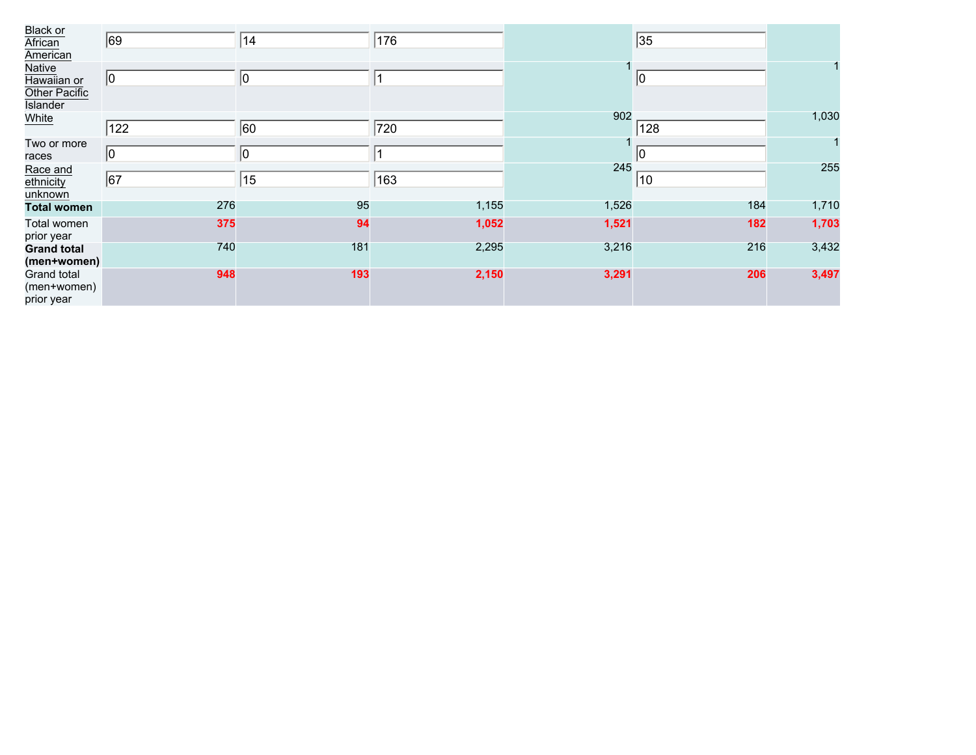| <b>Black or</b><br>African<br>American                    | 69          | 14  | 176   |       | 35          |       |
|-----------------------------------------------------------|-------------|-----|-------|-------|-------------|-------|
| Native<br>Hawaiian or<br>Other Pacific<br><b>Islander</b> | $ 0\rangle$ | 10  |       |       | $ 0\rangle$ |       |
| White                                                     | 122         | 60  | 720   | 902   | 128         | 1,030 |
| Two or more<br>races                                      | 10          | 10  |       |       | 10          |       |
| Race and<br>ethnicity<br>unknown                          | 67          | 15  | 163   | 245   | 10          | 255   |
| <b>Total women</b>                                        | 276         | 95  | 1,155 | 1,526 | 184         | 1,710 |
| Total women<br>prior year                                 | 375         | 94  | 1,052 | 1,521 | 182         | 1,703 |
| <b>Grand total</b><br>(men+women)                         | 740         | 181 | 2,295 | 3,216 | 216         | 3,432 |
| Grand total<br>(men+women)<br>prior year                  | 948         | 193 | 2,150 | 3,291 | 206         | 3,497 |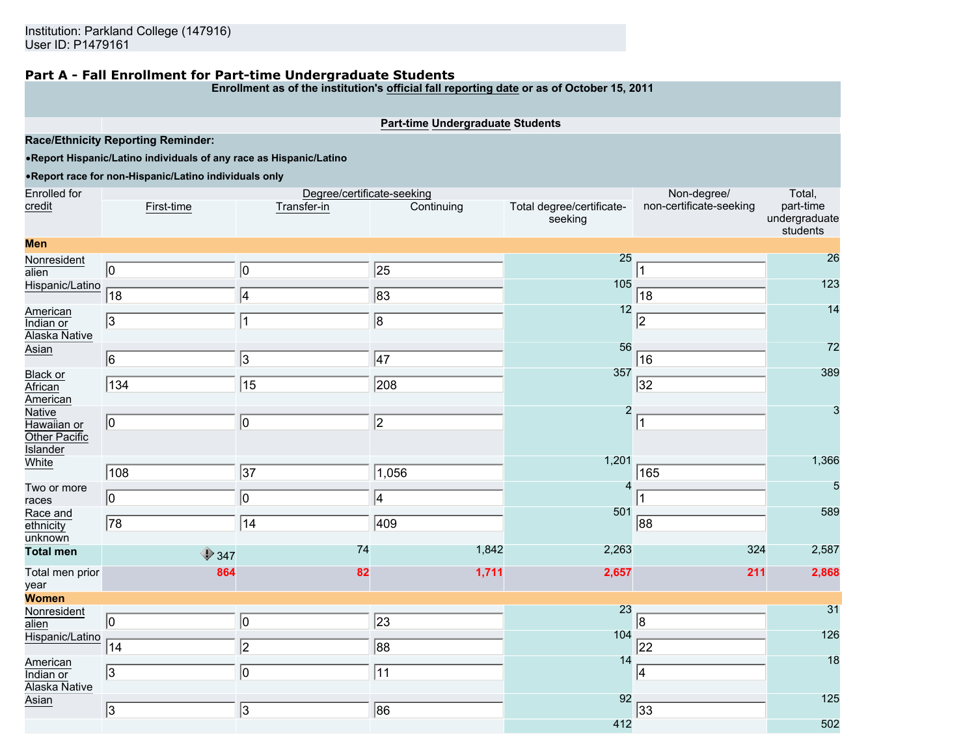## **Part A - Fall Enrollment for Part-time Undergraduate Students**

**Enrollment as of the institution's official fall reporting date or as of October 15, 2011**

**Part-time Undergraduate Students**

**Race/Ethnicity Reporting Reminder:**

•**Report Hispanic/Latino individuals of any race as Hispanic/Latino**

## •**Report race for non-Hispanic/Latino individuals only**

| <b>Enrolled</b> for                                       |                 | Degree/certificate-seeking |                 |                                      | Non-degree/             | Total,                                 |
|-----------------------------------------------------------|-----------------|----------------------------|-----------------|--------------------------------------|-------------------------|----------------------------------------|
| credit                                                    | First-time      | Transfer-in                | Continuing      | Total degree/certificate-<br>seeking | non-certificate-seeking | part-time<br>undergraduate<br>students |
| <b>Men</b>                                                |                 |                            |                 |                                      |                         |                                        |
| Nonresident<br>alien                                      | $\boxed{0}$     | $ 0\rangle$                | $\sqrt{25}$     | 25                                   |                         | 26                                     |
| Hispanic/Latino                                           | $\overline{18}$ | 4                          | $\sqrt{83}$     | 105                                  | 18                      | 123                                    |
| American<br>Indian or<br>Alaska Native                    | $\sqrt{3}$      | $\vert$ 1                  | $\sqrt{8}$      | 12                                   | $\overline{2}$          | 14                                     |
| Asian                                                     | $\sqrt{6}$      | 3                          | $\sqrt{47}$     | 56                                   | 16                      | 72                                     |
| Black or<br>African<br>American                           | 134             | $\overline{15}$            | 208             | 357                                  | 32                      | 389                                    |
| Native<br>Hawaiian or<br>Other Pacific<br><b>Islander</b> | $\boxed{0}$     | $ 0\rangle$                | $\sqrt{2}$      | $\overline{2}$                       | 1                       | 3                                      |
| White                                                     | $\sqrt{108}$    | $\overline{37}$            | 1,056           | 1,201                                | 165                     | 1,366                                  |
| Two or more<br>races                                      | $ 0\rangle$     | 0                          | 4               | 4                                    |                         | 5                                      |
| Race and<br>ethnicity<br>unknown                          | 78              | 14                         | 409             | 501                                  | 88                      | 589                                    |
| <b>Total men</b>                                          | $\bigcirc$ 347  | 74                         | 1,842           | 2,263                                | 324                     | 2,587                                  |
| Total men prior<br>year                                   | 864             | 82                         | 1,711           | 2,657                                | 211                     | 2,868                                  |
| <b>Women</b>                                              |                 |                            |                 |                                      |                         |                                        |
| Nonresident<br>alien                                      | $ 0\rangle$     | $ 0\rangle$                | $\sqrt{23}$     | 23                                   | 8                       | 31                                     |
| Hispanic/Latino                                           | 14              | $\overline{2}$             | $\overline{88}$ | 104                                  | 22                      | 126                                    |
| American<br>Indian or<br>Alaska Native                    | 3               | O                          | $\overline{11}$ | 14                                   | 4                       | 18                                     |
| Asian                                                     | $\sqrt{3}$      | 3                          | 86              | 92                                   | 33                      | 125                                    |
|                                                           |                 |                            |                 | 412                                  |                         | 502                                    |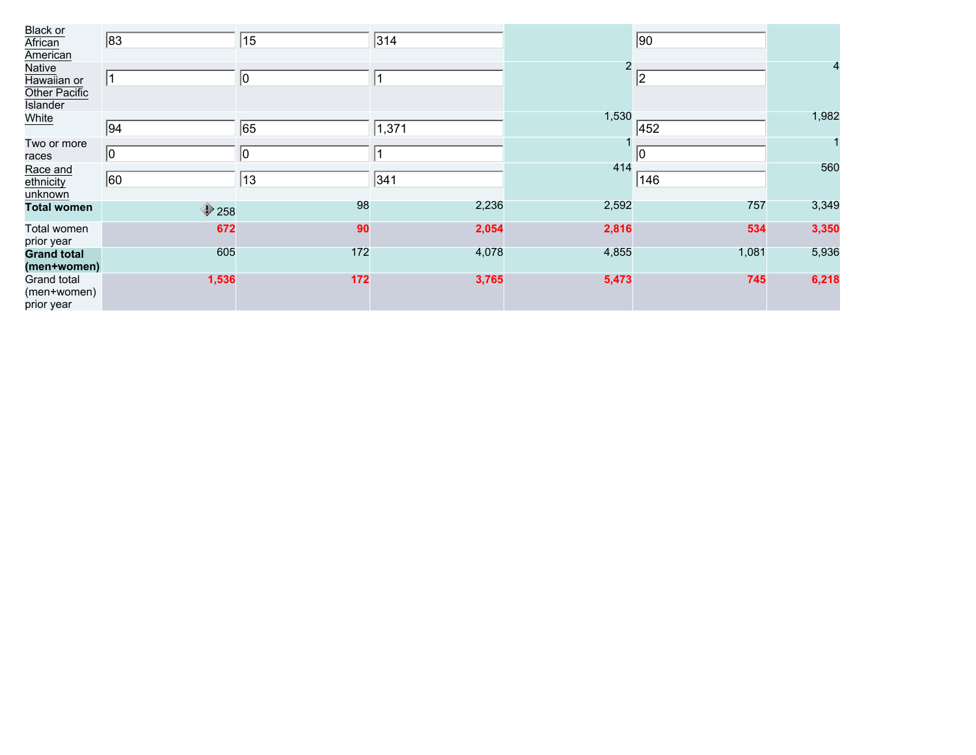| <b>Black or</b><br>African<br>American   | 83             | 15           | 314   |       | 90    |       |
|------------------------------------------|----------------|--------------|-------|-------|-------|-------|
| Native<br>Hawaiian or<br>Other Pacific   | $\vert$ 1      | $ 0\rangle$  |       | 2     | 2     | 4     |
| <b>Islander</b><br>White                 | 94             | 65           | 1,371 | 1,530 | 452   | 1,982 |
| Two or more<br>races                     | $ 0\rangle$    | $ 0\rangle$  |       |       | 10    |       |
| Race and<br>ethnicity<br>unknown         | 60             | $ 13\rangle$ | 341   | 414   | 146   | 560   |
| <b>Total women</b>                       | $\bigcirc$ 258 | 98           | 2,236 | 2,592 | 757   | 3,349 |
| Total women<br>prior year                | 672            | 90           | 2,054 | 2,816 | 534   | 3,350 |
| <b>Grand total</b><br>(men+women)        | 605            | 172          | 4,078 | 4,855 | 1,081 | 5,936 |
| Grand total<br>(men+women)<br>prior year | 1,536          | 172          | 3,765 | 5,473 | 745   | 6,218 |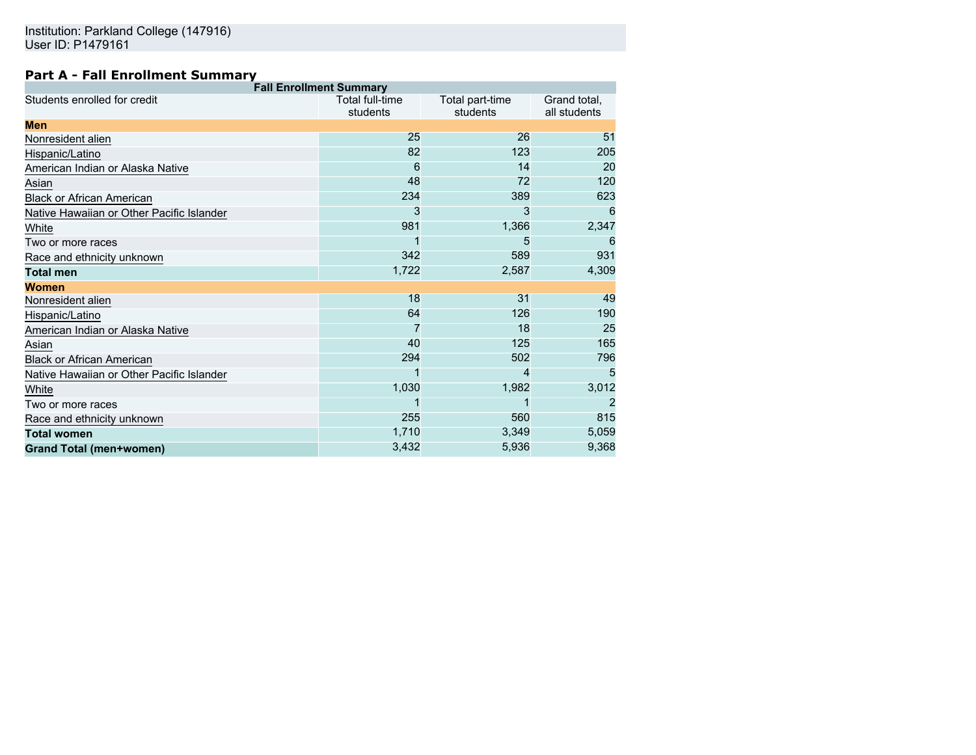# **Part A - Fall Enrollment Summary**

| <b>Fall Enrollment Summary</b>            |                             |                             |                              |  |  |  |  |
|-------------------------------------------|-----------------------------|-----------------------------|------------------------------|--|--|--|--|
| Students enrolled for credit              | Total full-time<br>students | Total part-time<br>students | Grand total,<br>all students |  |  |  |  |
| Men                                       |                             |                             |                              |  |  |  |  |
| Nonresident alien                         | 25                          | 26                          | 51                           |  |  |  |  |
| Hispanic/Latino                           | 82                          | 123                         | 205                          |  |  |  |  |
| American Indian or Alaska Native          | 6                           | 14                          | 20                           |  |  |  |  |
| Asian                                     | 48                          | 72                          | 120                          |  |  |  |  |
| Black or African American                 | 234                         | 389                         | 623                          |  |  |  |  |
| Native Hawaiian or Other Pacific Islander | 3                           | 3                           | 6                            |  |  |  |  |
| White                                     | 981                         | 1,366                       | 2,347                        |  |  |  |  |
| Two or more races                         |                             | 5                           | 6                            |  |  |  |  |
| Race and ethnicity unknown                | 342                         | 589                         | 931                          |  |  |  |  |
| <b>Total men</b>                          | 1,722                       | 2,587                       | 4,309                        |  |  |  |  |
| Women                                     |                             |                             |                              |  |  |  |  |
| Nonresident alien                         | 18                          | 31                          | 49                           |  |  |  |  |
| Hispanic/Latino                           | 64                          | 126                         | 190                          |  |  |  |  |
| American Indian or Alaska Native          |                             | 18                          | 25                           |  |  |  |  |
| Asian                                     | 40                          | 125                         | 165                          |  |  |  |  |
| Black or African American                 | 294                         | 502                         | 796                          |  |  |  |  |
| Native Hawaiian or Other Pacific Islander |                             | 4                           | 5                            |  |  |  |  |
| White                                     | 1,030                       | 1,982                       | 3,012                        |  |  |  |  |
| Two or more races                         |                             |                             | 2                            |  |  |  |  |
| Race and ethnicity unknown                | 255                         | 560                         | 815                          |  |  |  |  |
| Total women                               | 1,710                       | 3,349                       | 5,059                        |  |  |  |  |
| <b>Grand Total (men+women)</b>            | 3,432                       | 5,936                       | 9,368                        |  |  |  |  |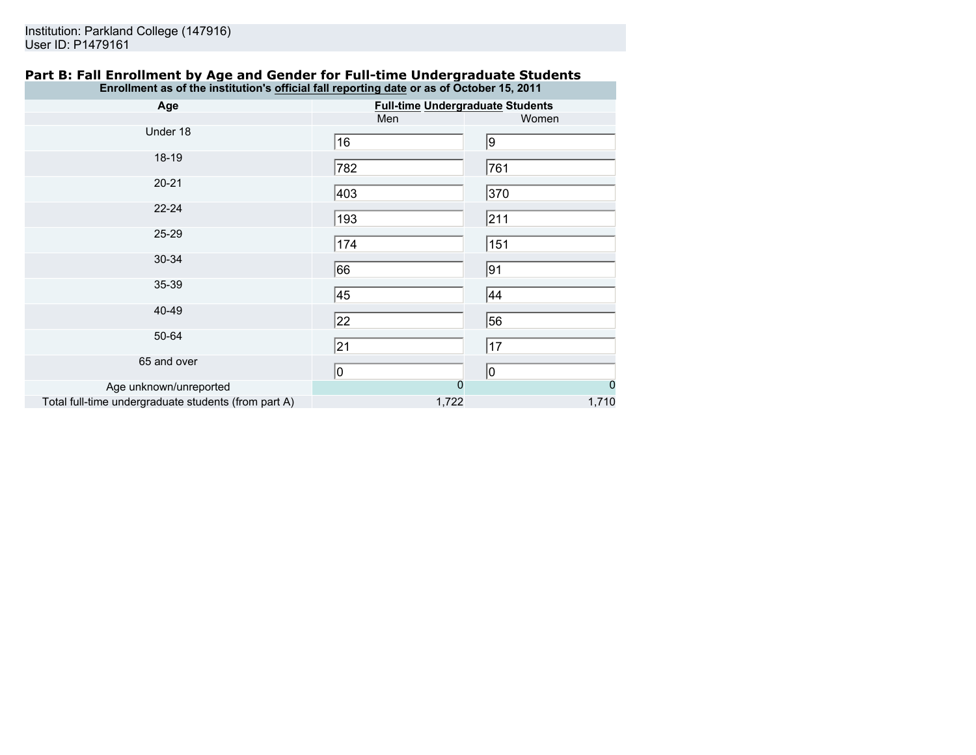## **Part B: Fall Enrollment by Age and Gender for Full-time Undergraduate Students Enrollment as of the institution's official fall reporting date or as of October 15, 2011**

| Age                                                  | <b>Full-time Undergraduate Students</b> |             |  |  |
|------------------------------------------------------|-----------------------------------------|-------------|--|--|
|                                                      | Men                                     | Women       |  |  |
| Under 18                                             | 16                                      | 9           |  |  |
| 18-19                                                | 782                                     | 761         |  |  |
| $20 - 21$                                            | 403                                     | 370         |  |  |
| $22 - 24$                                            | 193                                     | 211         |  |  |
| 25-29                                                | 174                                     | 151         |  |  |
| 30-34                                                | 66                                      | 91          |  |  |
| 35-39                                                | 45                                      | 44          |  |  |
| 40-49                                                | 22                                      | 56          |  |  |
| 50-64                                                | $\overline{21}$                         | 17          |  |  |
| 65 and over                                          | 0                                       | 10          |  |  |
| Age unknown/unreported                               | 0                                       | $\mathbf 0$ |  |  |
| Total full-time undergraduate students (from part A) | 1,722                                   | 1,710       |  |  |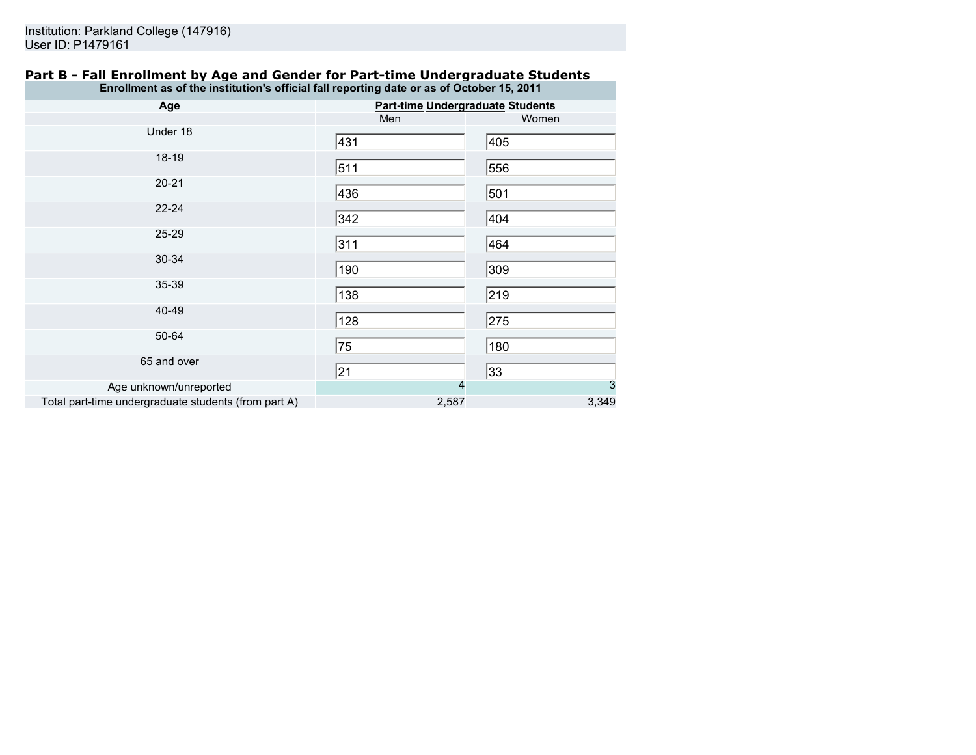## **Part B - Fall Enrollment by Age and Gender for Part-time Undergraduate Students Enrollment as of the institution's official fall reporting date or as of October 15, 2011**

| Age                                                  | <b>Part-time Undergraduate Students</b> |       |  |  |
|------------------------------------------------------|-----------------------------------------|-------|--|--|
|                                                      | Men                                     | Women |  |  |
| Under 18                                             | 431                                     | 405   |  |  |
| 18-19                                                | 511                                     | 556   |  |  |
| $20 - 21$                                            | 436                                     | 501   |  |  |
| $22 - 24$                                            | 342                                     | 404   |  |  |
| 25-29                                                | 311                                     | 464   |  |  |
| 30-34                                                | 190                                     | 309   |  |  |
| 35-39                                                | 138                                     | 219   |  |  |
| 40-49                                                | 128                                     | 275   |  |  |
| 50-64                                                | 75                                      | 180   |  |  |
| 65 and over                                          | 21                                      | 33    |  |  |
| Age unknown/unreported                               | 4                                       | 3     |  |  |
| Total part-time undergraduate students (from part A) | 2,587                                   | 3,349 |  |  |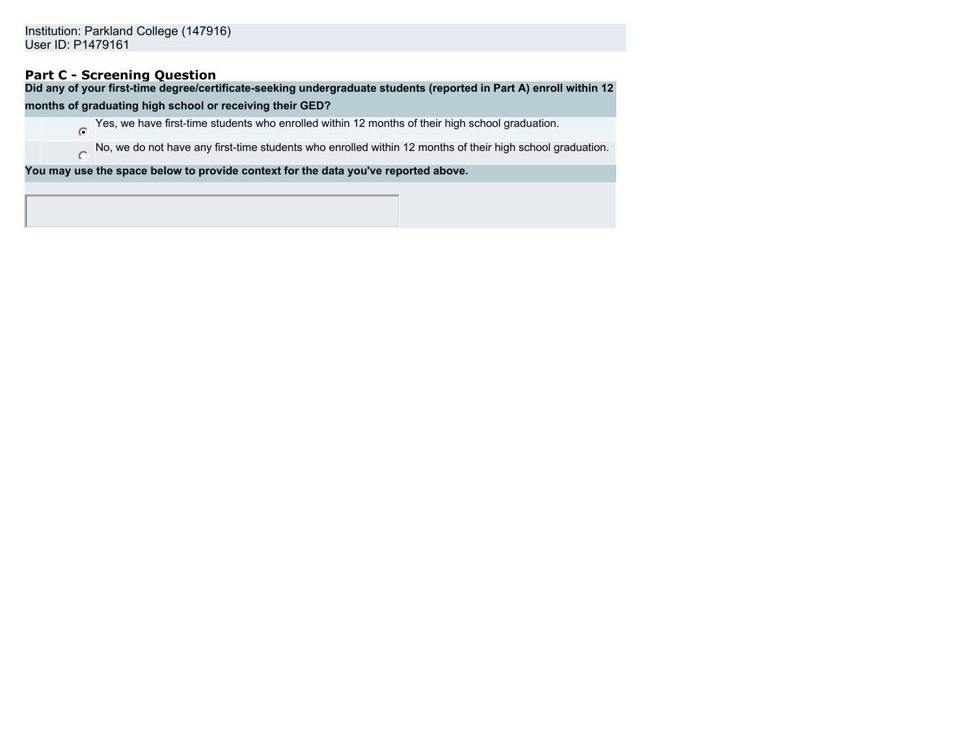# **Part C - Screening Question**

**Did any of your first-time degree/certificate-seeking undergraduate students (reported in Part A) enroll within 12**

## **months of graduating high school or receiving their GED?**

Yes, we have first-time students who enrolled within 12 months of their high school graduation.

No, we do not have any first-time students who enrolled within 12 months of their high school graduation.  $\circ$ 

**You may use the space below to provide context for the data you've reported above.**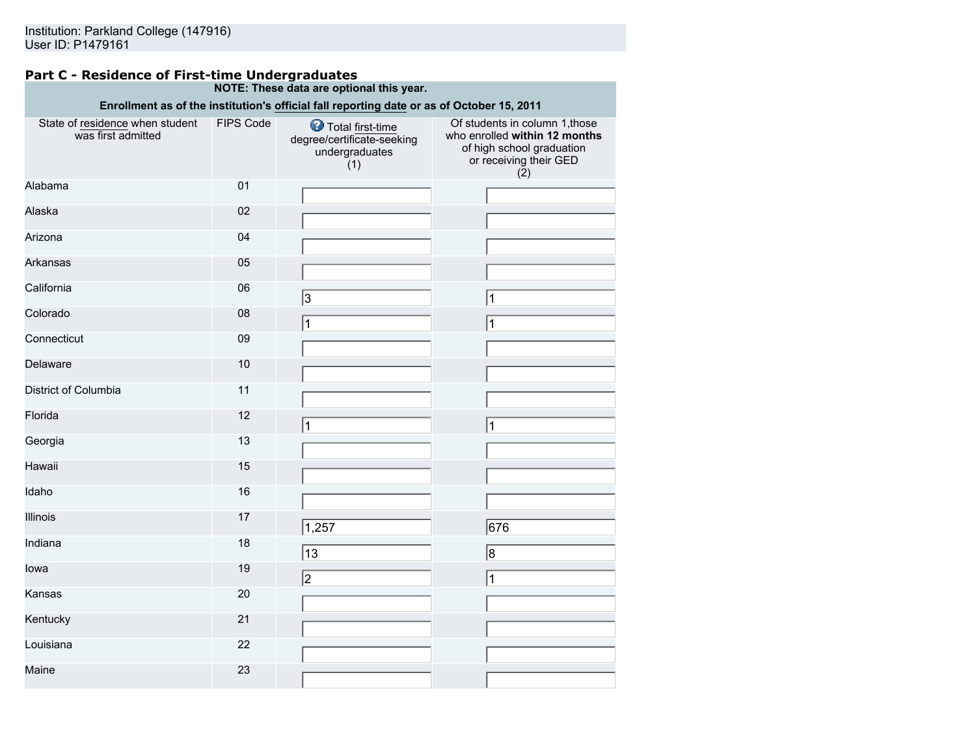## **Part C - Residence of First-time Undergraduates NOTE: These data are optional this year.**

|                                                       |           | Enrollment as of the institution's official fall reporting date or as of October 15, 2011 |                                                                                                                               |
|-------------------------------------------------------|-----------|-------------------------------------------------------------------------------------------|-------------------------------------------------------------------------------------------------------------------------------|
| State of residence when student<br>was first admitted | FIPS Code | Total first-time<br>degree/certificate-seeking<br>undergraduates<br>(1)                   | Of students in column 1, those<br>who enrolled within 12 months<br>of high school graduation<br>or receiving their GED<br>(2) |
| Alabama                                               | 01        |                                                                                           |                                                                                                                               |
| Alaska                                                | 02        |                                                                                           |                                                                                                                               |
| Arizona                                               | 04        |                                                                                           |                                                                                                                               |
| Arkansas                                              | 05        |                                                                                           |                                                                                                                               |
| California                                            | 06        | 3                                                                                         | 1                                                                                                                             |
| Colorado                                              | 08        | $\mathbf{1}$                                                                              | 1                                                                                                                             |
| Connecticut                                           | 09        |                                                                                           |                                                                                                                               |
| Delaware                                              | 10        |                                                                                           |                                                                                                                               |
| District of Columbia                                  | 11        |                                                                                           |                                                                                                                               |
| Florida                                               | 12        | 1                                                                                         | 1                                                                                                                             |
| Georgia                                               | 13        |                                                                                           |                                                                                                                               |
| Hawaii                                                | 15        |                                                                                           |                                                                                                                               |
| Idaho                                                 | 16        |                                                                                           |                                                                                                                               |
| Illinois                                              | 17        | 1,257                                                                                     | 676                                                                                                                           |
| Indiana                                               | 18        | 13                                                                                        | 8                                                                                                                             |
| lowa                                                  | 19        | 2                                                                                         | 1                                                                                                                             |
| Kansas                                                | 20        |                                                                                           |                                                                                                                               |
| Kentucky                                              | 21        |                                                                                           |                                                                                                                               |
| Louisiana                                             | 22        |                                                                                           |                                                                                                                               |
| Maine                                                 | 23        |                                                                                           |                                                                                                                               |
|                                                       |           |                                                                                           |                                                                                                                               |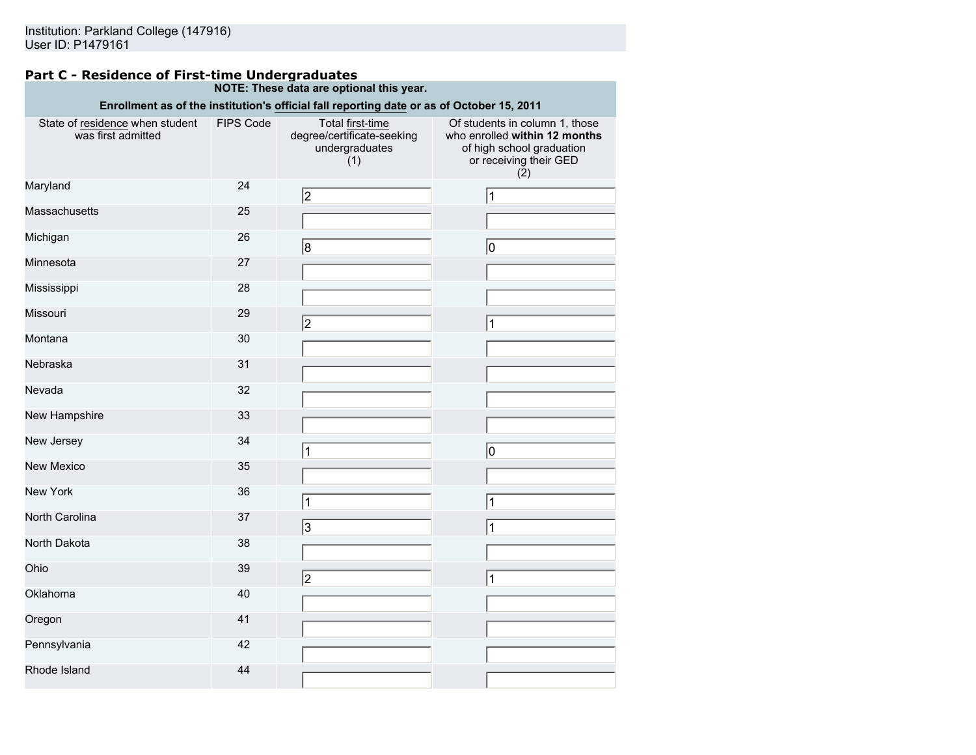## **Part C - Residence of First-time Undergraduates NOTE: These data are optional this year.**

| Enrollment as of the institution's official fall reporting date or as of October 15, 2011 |                  |                                                                         |                                                                                                                               |  |  |  |
|-------------------------------------------------------------------------------------------|------------------|-------------------------------------------------------------------------|-------------------------------------------------------------------------------------------------------------------------------|--|--|--|
| State of residence when student<br>was first admitted                                     | <b>FIPS Code</b> | Total first-time<br>degree/certificate-seeking<br>undergraduates<br>(1) | Of students in column 1, those<br>who enrolled within 12 months<br>of high school graduation<br>or receiving their GED<br>(2) |  |  |  |
| Maryland                                                                                  | 24               | 2                                                                       | $\vert$ 1                                                                                                                     |  |  |  |
| Massachusetts                                                                             | 25               |                                                                         |                                                                                                                               |  |  |  |
| Michigan                                                                                  | 26               | 8                                                                       | 10                                                                                                                            |  |  |  |
| Minnesota                                                                                 | 27               |                                                                         |                                                                                                                               |  |  |  |
| Mississippi                                                                               | 28               |                                                                         |                                                                                                                               |  |  |  |
| Missouri                                                                                  | 29               | 2                                                                       | 1                                                                                                                             |  |  |  |
| Montana                                                                                   | 30               |                                                                         |                                                                                                                               |  |  |  |
| Nebraska                                                                                  | 31               |                                                                         |                                                                                                                               |  |  |  |
| Nevada                                                                                    | 32               |                                                                         |                                                                                                                               |  |  |  |
| New Hampshire                                                                             | 33               |                                                                         |                                                                                                                               |  |  |  |
| New Jersey                                                                                | 34               |                                                                         | 0                                                                                                                             |  |  |  |
| <b>New Mexico</b>                                                                         | 35               |                                                                         |                                                                                                                               |  |  |  |
| New York                                                                                  | 36               | 1                                                                       | $\vert$ 1                                                                                                                     |  |  |  |
| North Carolina                                                                            | 37               | 3                                                                       | 1                                                                                                                             |  |  |  |
| North Dakota                                                                              | 38               |                                                                         |                                                                                                                               |  |  |  |
| Ohio                                                                                      | 39               | 2                                                                       | 1                                                                                                                             |  |  |  |
| Oklahoma                                                                                  | 40               |                                                                         |                                                                                                                               |  |  |  |
| Oregon                                                                                    | 41               |                                                                         |                                                                                                                               |  |  |  |
| Pennsylvania                                                                              | 42               |                                                                         |                                                                                                                               |  |  |  |
| Rhode Island                                                                              | 44               |                                                                         |                                                                                                                               |  |  |  |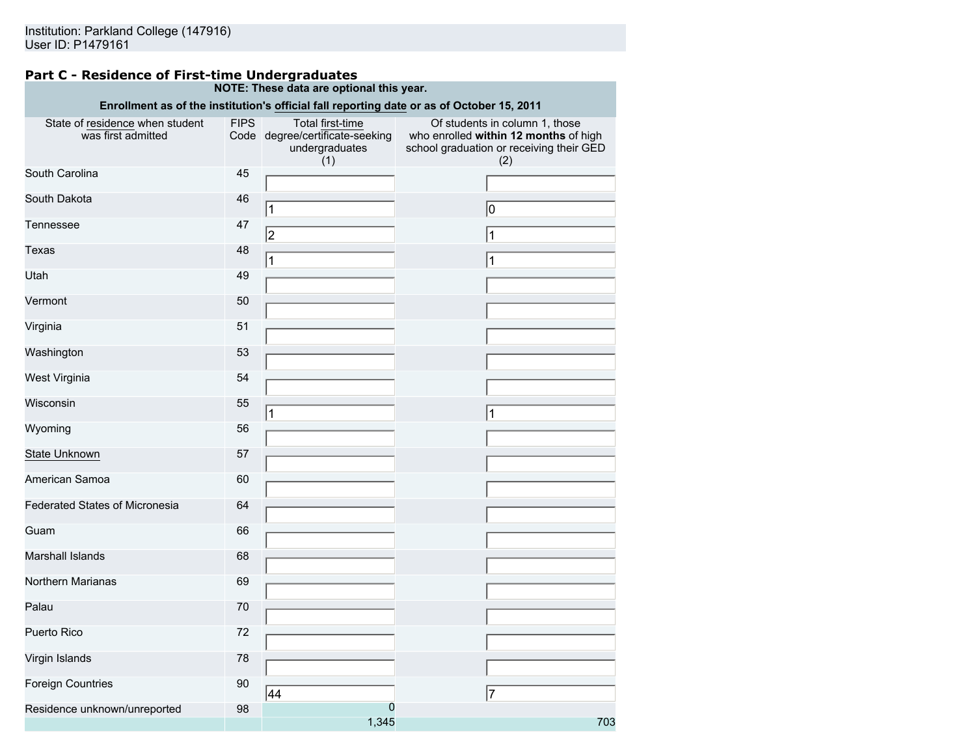#### **Part C - Residence of First-time Undergraduates NOTE: These data are optional this year.**

|                                                       |             |                                                                              | Enrollment as of the institution's official fall reporting date or as of October 15, 2011                                  |
|-------------------------------------------------------|-------------|------------------------------------------------------------------------------|----------------------------------------------------------------------------------------------------------------------------|
| State of residence when student<br>was first admitted | <b>FIPS</b> | Total first-time<br>Code degree/certificate-seeking<br>undergraduates<br>(1) | Of students in column 1, those<br>who enrolled within 12 months of high<br>school graduation or receiving their GED<br>(2) |
| South Carolina                                        | 45          |                                                                              |                                                                                                                            |
| South Dakota                                          | 46          | $\mathbf 1$                                                                  | 10                                                                                                                         |
| Tennessee                                             | 47          | 2                                                                            | $\mathbf{1}$                                                                                                               |
| Texas                                                 | 48          | 1                                                                            | 1                                                                                                                          |
| Utah                                                  | 49          |                                                                              |                                                                                                                            |
| Vermont                                               | 50          |                                                                              |                                                                                                                            |
| Virginia                                              | 51          |                                                                              |                                                                                                                            |
| Washington                                            | 53          |                                                                              |                                                                                                                            |
| West Virginia                                         | 54          |                                                                              |                                                                                                                            |
| Wisconsin                                             | 55          | 1                                                                            | 1                                                                                                                          |
| Wyoming                                               | 56          |                                                                              |                                                                                                                            |
| State Unknown                                         | 57          |                                                                              |                                                                                                                            |
| American Samoa                                        | 60          |                                                                              |                                                                                                                            |
| Federated States of Micronesia                        | 64          |                                                                              |                                                                                                                            |
| Guam                                                  | 66          |                                                                              |                                                                                                                            |
| Marshall Islands                                      | 68          |                                                                              |                                                                                                                            |
| Northern Marianas                                     | 69          |                                                                              |                                                                                                                            |
| Palau                                                 | 70          |                                                                              |                                                                                                                            |
| Puerto Rico                                           | 72          |                                                                              |                                                                                                                            |
| Virgin Islands                                        | 78          |                                                                              |                                                                                                                            |
| <b>Foreign Countries</b>                              | 90          | 44                                                                           | $\overline{7}$                                                                                                             |
| Residence unknown/unreported                          | 98          | 0<br>1,345                                                                   | 703                                                                                                                        |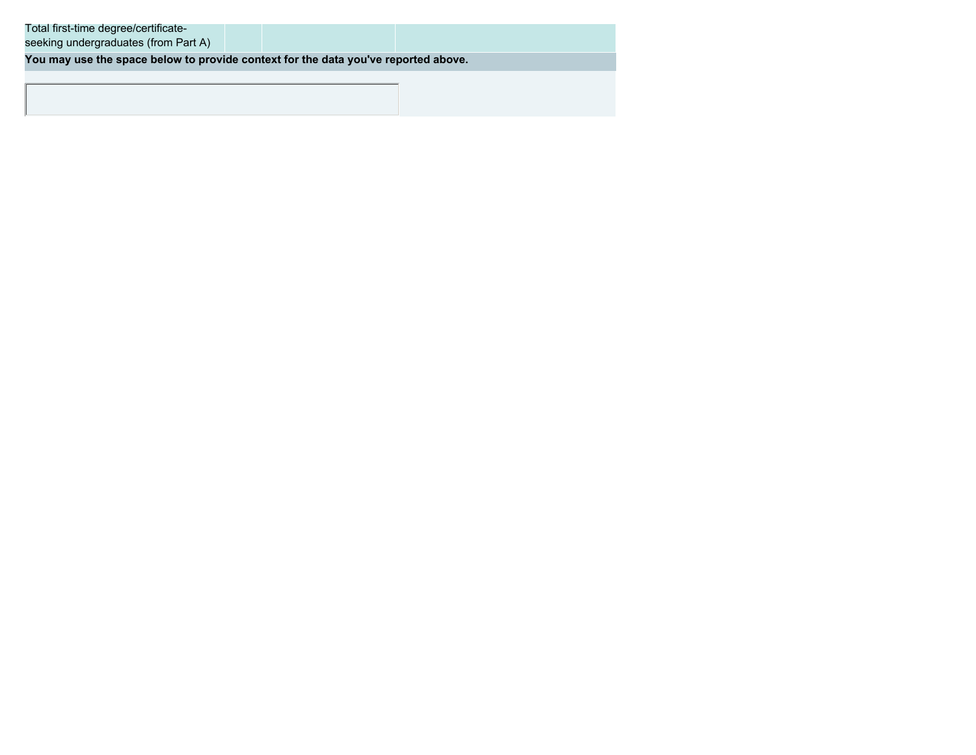**You may use the space below to provide context for the data you've reported above.**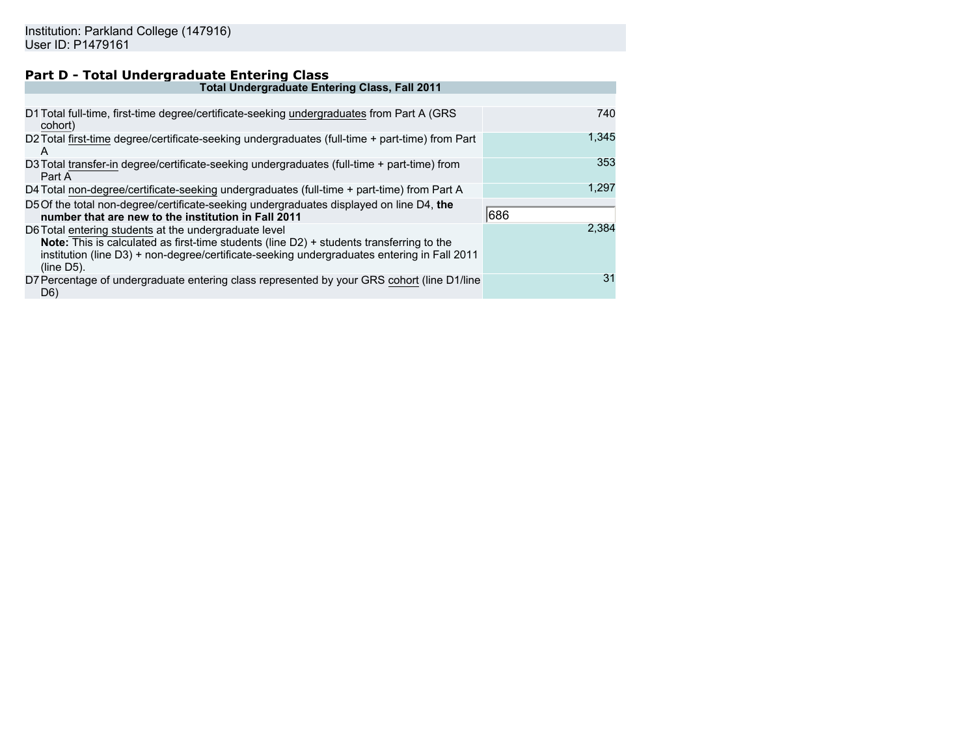# **Part D - Total Undergraduate Entering Class**

| <b>Total Undergraduate Entering Class, Fall 2011</b>                                                                                                                                                                                                              |       |
|-------------------------------------------------------------------------------------------------------------------------------------------------------------------------------------------------------------------------------------------------------------------|-------|
|                                                                                                                                                                                                                                                                   |       |
| D1 Total full-time, first-time degree/certificate-seeking undergraduates from Part A (GRS<br>cohort)                                                                                                                                                              | 740   |
| D2 Total first-time degree/certificate-seeking undergraduates (full-time + part-time) from Part<br>A                                                                                                                                                              | 1,345 |
| D3 Total transfer-in degree/certificate-seeking undergraduates (full-time + part-time) from<br>Part A                                                                                                                                                             | 353   |
| D4 Total non-degree/certificate-seeking undergraduates (full-time + part-time) from Part A                                                                                                                                                                        | 1,297 |
| D5 Of the total non-degree/certificate-seeking undergraduates displayed on line D4, the<br>number that are new to the institution in Fall 2011                                                                                                                    | 686   |
| D6 Total entering students at the undergraduate level<br>Note: This is calculated as first-time students (line D2) + students transferring to the<br>institution (line D3) + non-degree/certificate-seeking undergraduates entering in Fall 2011<br>$(line D5)$ . | 2.384 |
| D7 Percentage of undergraduate entering class represented by your GRS cohort (line D1/line<br>D6)                                                                                                                                                                 | 31    |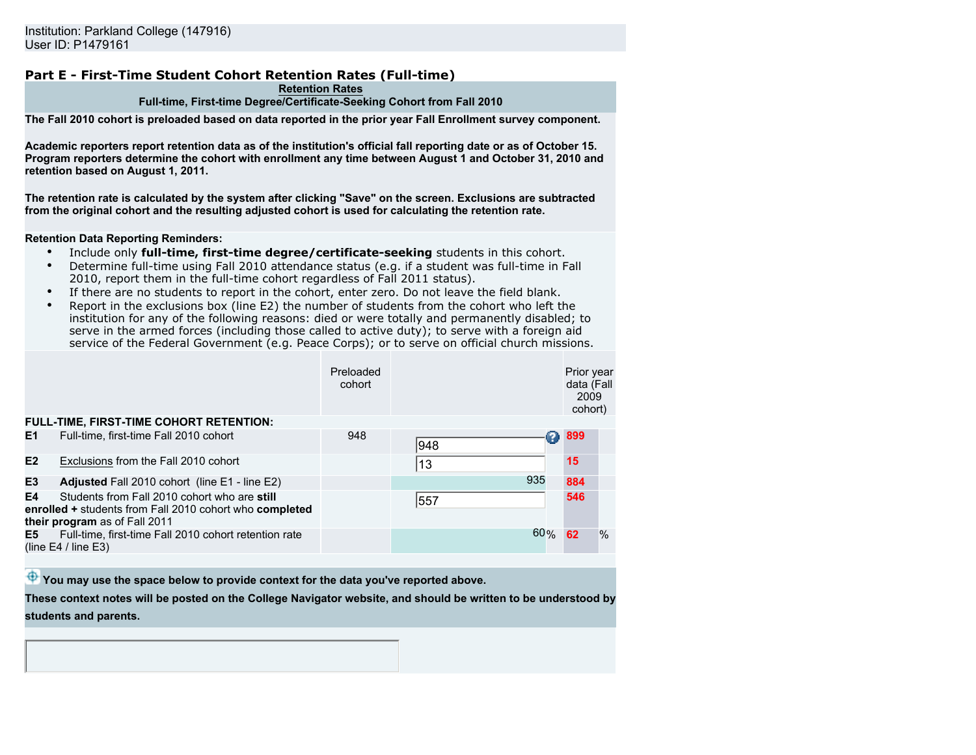# **Part E - First-Time Student Cohort Retention Rates (Full-time)**

#### **Retention Rates Full-time, First-time Degree/Certificate-Seeking Cohort from Fall 2010**

**The Fall 2010 cohort is preloaded based on data reported in the prior year Fall Enrollment survey component.**

**Academic reporters report retention data as of the institution's official fall reporting date or as of October 15. Program reporters determine the cohort with enrollment any time between August 1 and October 31, 2010 and retention based on August 1, 2011.**

**The retention rate is calculated by the system after clicking "Save" on the screen. Exclusions are subtracted from the original cohort and the resulting adjusted cohort is used for calculating the retention rate.**

#### **Retention Data Reporting Reminders:**

- Include only **full-time, first-time degree/certificate-seeking** students in this cohort.
- Determine full-time using Fall 2010 attendance status (e.g. if a student was full-time in Fall 2010, report them in the full-time cohort regardless of Fall 2011 status).
- If there are no students to report in the cohort, enter zero. Do not leave the field blank.
- Report in the exclusions box (line E2) the number of students from the cohort who left the institution for any of the following reasons: died or were totally and permanently disabled; to serve in the armed forces (including those called to active duty); to serve with a foreign aid service of the Federal Government (e.g. Peace Corps); or to serve on official church missions.

|                |                                                                                                                                          | Preloaded<br>cohort |     |     | Prior year<br>data (Fall<br>2009<br>cohort) |      |
|----------------|------------------------------------------------------------------------------------------------------------------------------------------|---------------------|-----|-----|---------------------------------------------|------|
|                | <b>FULL-TIME, FIRST-TIME COHORT RETENTION:</b>                                                                                           |                     |     |     |                                             |      |
| E <sub>1</sub> | Full-time, first-time Fall 2010 cohort                                                                                                   | 948                 | 948 |     | 899                                         |      |
| E2             | Exclusions from the Fall 2010 cohort                                                                                                     |                     | 13  |     | 15                                          |      |
| E3             | Adjusted Fall 2010 cohort (line E1 - line E2)                                                                                            |                     |     | 935 | 884                                         |      |
| E4             | Students from Fall 2010 cohort who are still<br>enrolled + students from Fall 2010 cohort who completed<br>their program as of Fall 2011 |                     | 557 |     | 546                                         |      |
| E5             | Full-time, first-time Fall 2010 cohort retention rate<br>(line $E4 /$ line $E3$ )                                                        |                     |     | 60% | 62                                          | $\%$ |

 $\bigoplus$  You may use the space below to provide context for the data you've reported above.

**These context notes will be posted on the College Navigator website, and should be written to be understood by students and parents.**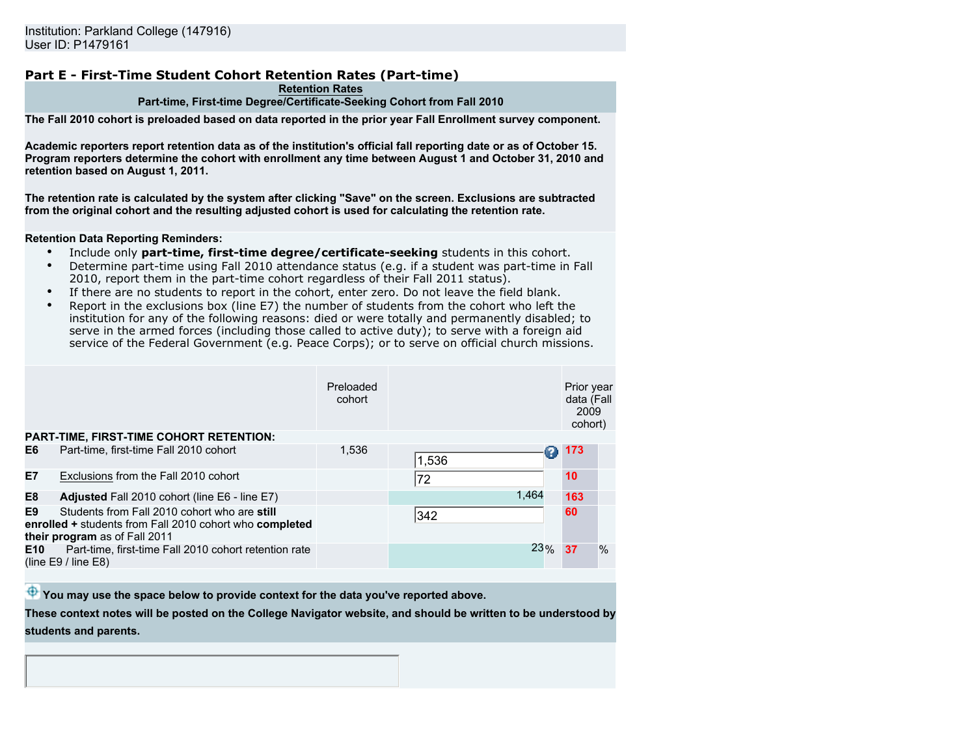# **Part E - First-Time Student Cohort Retention Rates (Part-time)**

#### **Retention Rates Part-time, First-time Degree/Certificate-Seeking Cohort from Fall 2010**

**The Fall 2010 cohort is preloaded based on data reported in the prior year Fall Enrollment survey component.**

**Academic reporters report retention data as of the institution's official fall reporting date or as of October 15. Program reporters determine the cohort with enrollment any time between August 1 and October 31, 2010 and retention based on August 1, 2011.**

**The retention rate is calculated by the system after clicking "Save" on the screen. Exclusions are subtracted from the original cohort and the resulting adjusted cohort is used for calculating the retention rate.**

#### **Retention Data Reporting Reminders:**

- Include only **part-time, first-time degree/certificate-seeking** students in this cohort.
- Determine part-time using Fall 2010 attendance status (e.g. if a student was part-time in Fall 2010, report them in the part-time cohort regardless of their Fall 2011 status).
- If there are no students to report in the cohort, enter zero. Do not leave the field blank.
- Report in the exclusions box (line E7) the number of students from the cohort who left the institution for any of the following reasons: died or were totally and permanently disabled; to serve in the armed forces (including those called to active duty); to serve with a foreign aid service of the Federal Government (e.g. Peace Corps); or to serve on official church missions.

|                |                                                                                                                                          | Preloaded<br>cohort |       |     | Prior year<br>data (Fall<br>2009<br>cohort) |      |
|----------------|------------------------------------------------------------------------------------------------------------------------------------------|---------------------|-------|-----|---------------------------------------------|------|
|                | <b>PART-TIME, FIRST-TIME COHORT RETENTION:</b>                                                                                           |                     |       |     |                                             |      |
| E6             | Part-time, first-time Fall 2010 cohort                                                                                                   | 1,536               | 1,536 |     | 173                                         |      |
| <b>E7</b>      | Exclusions from the Fall 2010 cohort                                                                                                     |                     | 72    |     | 10 <sup>°</sup>                             |      |
| E <sub>8</sub> | Adjusted Fall 2010 cohort (line E6 - line E7)                                                                                            |                     | 1.464 |     | 163                                         |      |
| E9             | Students from Fall 2010 cohort who are still<br>enrolled + students from Fall 2010 cohort who completed<br>their program as of Fall 2011 |                     | 342   |     | 60                                          |      |
| E10            | Part-time, first-time Fall 2010 cohort retention rate<br>(line $E9/$ line $E8$ )                                                         |                     |       | 23% | 37                                          | $\%$ |

 $\bigoplus$  You may use the space below to provide context for the data you've reported above.

**These context notes will be posted on the College Navigator website, and should be written to be understood by students and parents.**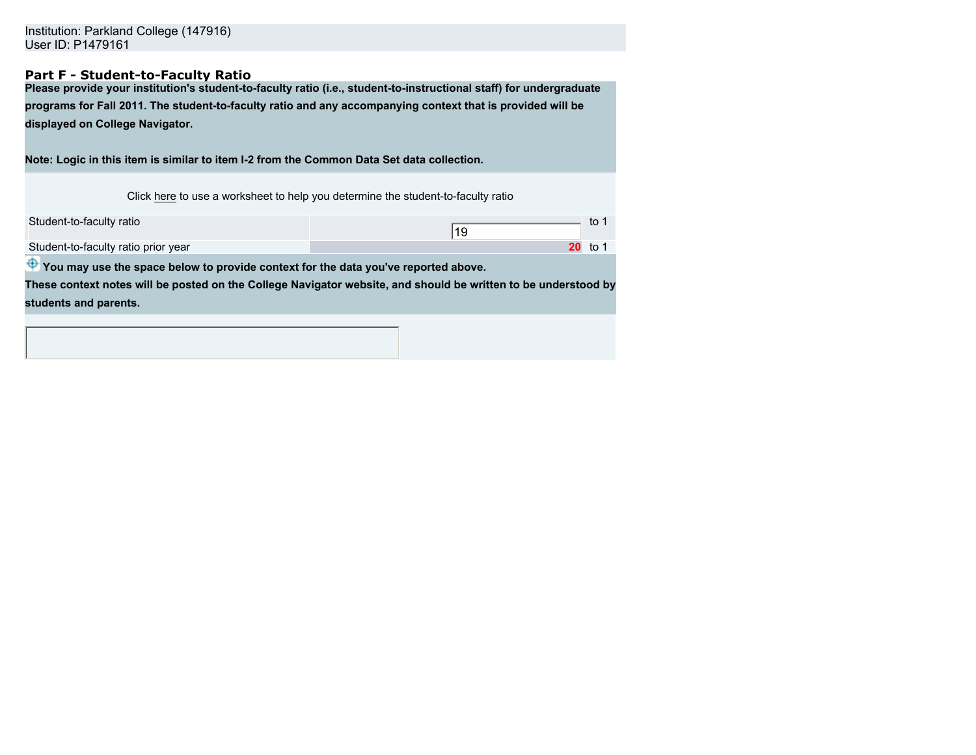Institution: Parkland College (147916) User ID: P1479161

# **Part F - Student-to-Faculty Ratio**

**Please provide your institution's student-to-faculty ratio (i.e., student-to-instructional staff) for undergraduate programs for Fall 2011. The student-to-faculty ratio and any accompanying context that is provided will be displayed on College Navigator.**

**Note: Logic in this item is similar to item I-2 from the Common Data Set data collection.**

Click here to use a worksheet to help you determine the student-to-faculty ratio

| Student-to-faculty ratio            |      |
|-------------------------------------|------|
| Student-to-faculty ratio prior year | to 1 |

 $\bigoplus$  You may use the space below to provide context for the data you've reported above.

**These context notes will be posted on the College Navigator website, and should be written to be understood by students and parents.**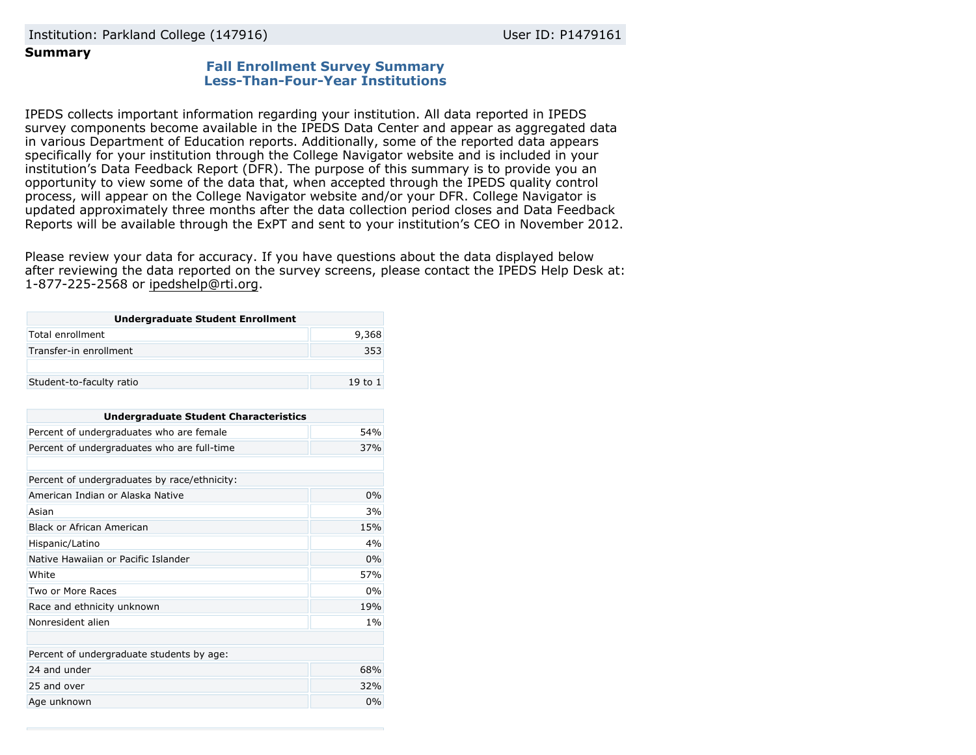Institution: Parkland College (147916) User ID: P1479161

# **Summary**

# **Fall Enrollment Survey Summary Less-Than-Four-Year Institutions**

IPEDS collects important information regarding your institution. All data reported in IPEDS survey components become available in the IPEDS Data Center and appear as aggregated data in various Department of Education reports. Additionally, some of the reported data appears specifically for your institution through the College Navigator website and is included in your institution's Data Feedback Report (DFR). The purpose of this summary is to provide you an opportunity to view some of the data that, when accepted through the IPEDS quality control process, will appear on the College Navigator website and/or your DFR. College Navigator is updated approximately three months after the data collection period closes and Data Feedback Reports will be available through the ExPT and sent to your institution's CEO in November 2012.

Please review your data for accuracy. If you have questions about the data displayed below after reviewing the data reported on the survey screens, please contact the IPEDS Help Desk at: 1-877-225-2568 or ipedshelp@rti.org.

| <b>Undergraduate Student Enrollment</b> |         |  |
|-----------------------------------------|---------|--|
| Total enrollment                        | 9,368   |  |
| Transfer-in enrollment                  | 353     |  |
|                                         |         |  |
| Student-to-faculty ratio                | 19 to 1 |  |

| <b>Undergraduate Student Characteristics</b> |       |  |  |
|----------------------------------------------|-------|--|--|
| Percent of undergraduates who are female     | 54%   |  |  |
| Percent of undergraduates who are full-time  | 37%   |  |  |
|                                              |       |  |  |
| Percent of undergraduates by race/ethnicity: |       |  |  |
| American Indian or Alaska Native             | 0%    |  |  |
| Asian                                        | 3%    |  |  |
| Black or African American                    | 15%   |  |  |
| Hispanic/Latino                              | 4%    |  |  |
| Native Hawaiian or Pacific Islander          | 0%    |  |  |
| White                                        | 57%   |  |  |
| Two or More Races                            | $0\%$ |  |  |
| Race and ethnicity unknown                   | 19%   |  |  |
| Nonresident alien                            | $1\%$ |  |  |
|                                              |       |  |  |
| Percent of undergraduate students by age:    |       |  |  |
| 24 and under                                 | 68%   |  |  |
| 25 and over                                  | 32%   |  |  |
| Age unknown                                  |       |  |  |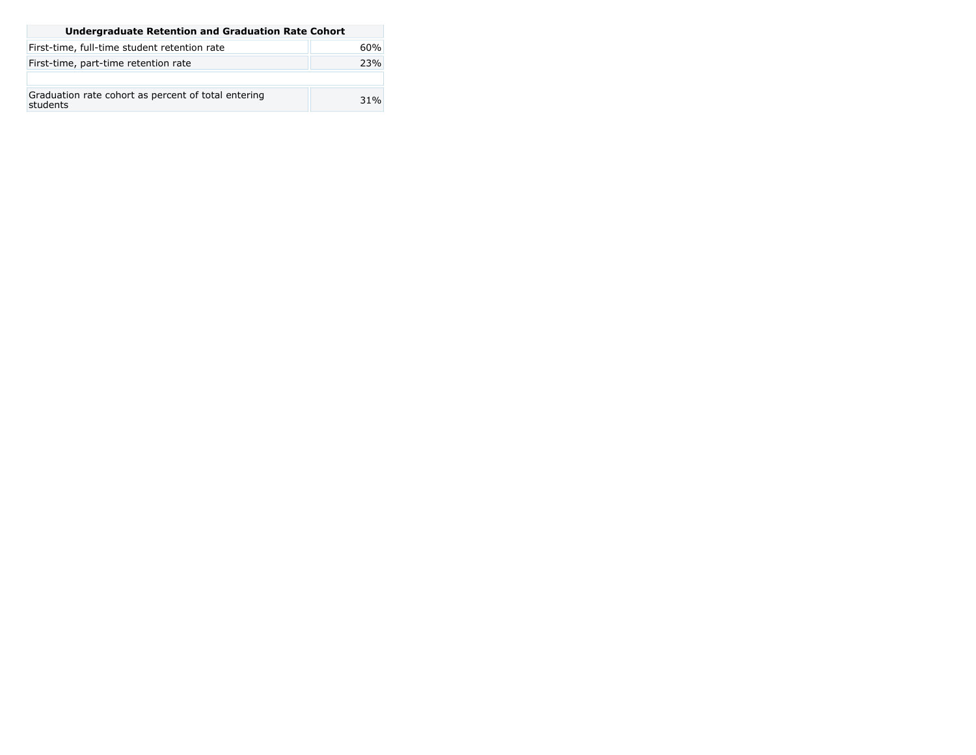| <b>Undergraduate Retention and Graduation Rate Cohort</b>       |     |  |
|-----------------------------------------------------------------|-----|--|
| First-time, full-time student retention rate                    | 60% |  |
| First-time, part-time retention rate                            | 23% |  |
|                                                                 |     |  |
| Graduation rate cohort as percent of total entering<br>students | 31% |  |